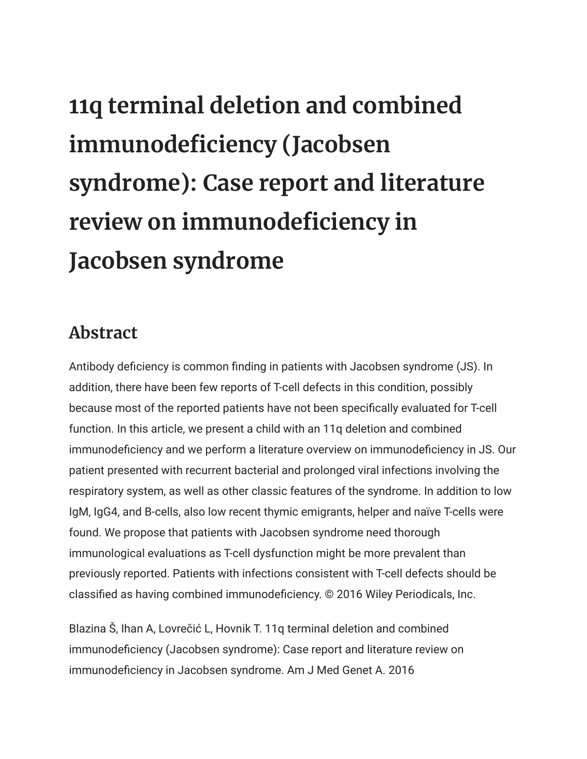## **11q terminal deletion and combined immunodeficiency (Jacobsen syndrome): Case report and literature review on immunodeficiency in Jacobsen syndrome**

## **Abstract**

Antibody deficiency is common finding in patients with Jacobsen syndrome (JS). In addition, there have been few reports of T-cell defects in this condition, possibly because most of the reported patients have not been specifically evaluated for T-cell function. In this article, we present a child with an 11q deletion and combined immunodeficiency and we perform a literature overview on immunodeficiency in JS. Our patient presented with recurrent bacterial and prolonged viral infections involving the respiratory system, as well as other classic features of the syndrome. In addition to low IgM, IgG4, and B-cells, also low recent thymic emigrants, helper and naïve T-cells were found. We propose that patients with Jacobsen syndrome need thorough immunological evaluations as T-cell dysfunction might be more prevalent than previously reported. Patients with infections consistent with T-cell defects should be classified as having combined immunodeficiency. © 2016 Wiley Periodicals, Inc.

Blazina Š, Ihan A, Lovrečić L, Hovnik T. 11q terminal deletion and combined immunodeficiency (Jacobsen syndrome): Case report and literature review on immunodeficiency in Jacobsen syndrome. Am J Med Genet A. 2016